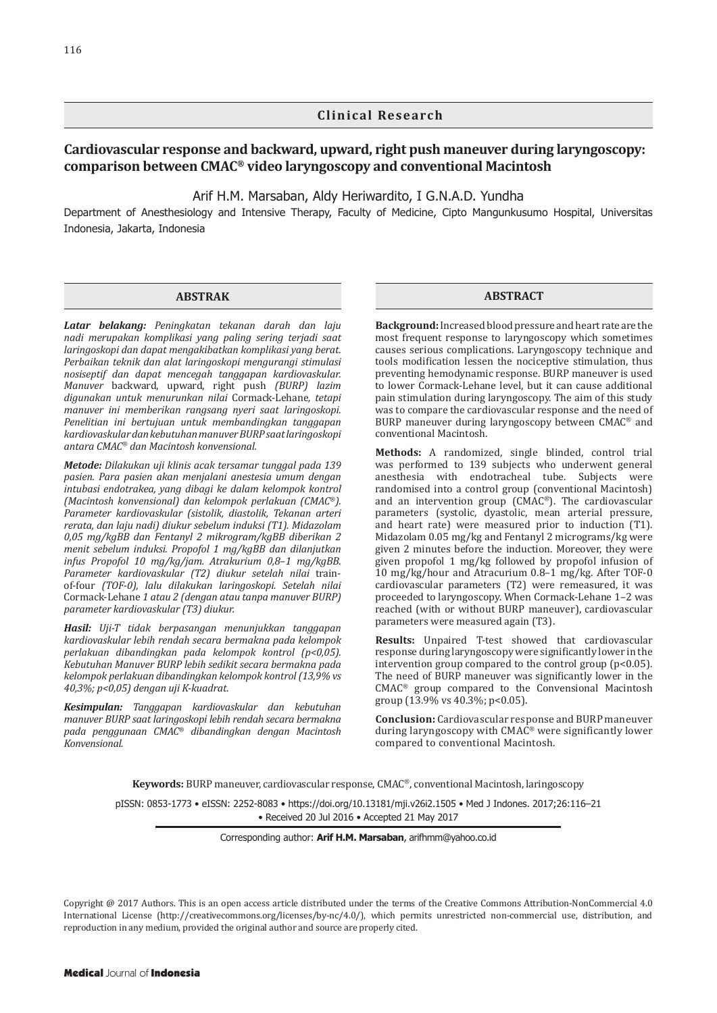#### **Clinical Research**

### **Cardiovascular response and backward, upward, right push maneuver during laryngoscopy: comparison between CMAC® video laryngoscopy and conventional Macintosh**

Arif H.M. Marsaban, Aldy Heriwardito, I G.N.A.D. Yundha

Department of Anesthesiology and Intensive Therapy, Faculty of Medicine, Cipto Mangunkusumo Hospital, Universitas Indonesia, Jakarta, Indonesia

#### **ABSTRAK**

*Latar belakang: Peningkatan tekanan darah dan laju nadi merupakan komplikasi yang paling sering terjadi saat laringoskopi dan dapat mengakibatkan komplikasi yang berat. Perbaikan teknik dan alat laringoskopi mengurangi stimulasi nosiseptif dan dapat mencegah tanggapan kardiovaskular. Manuver* backward, upward, right push *(BURP) lazim digunakan untuk menurunkan nilai* Cormack-Lehane*, tetapi manuver ini memberikan rangsang nyeri saat laringoskopi. Penelitian ini bertujuan untuk membandingkan tanggapan kardiovaskular dan kebutuhan manuver BURP saat laringoskopi antara CMAC® dan Macintosh konvensional.*

*Metode: Dilakukan uji klinis acak tersamar tunggal pada 139 pasien. Para pasien akan menjalani anestesia umum dengan intubasi endotrakea, yang dibagi ke dalam kelompok kontrol (Macintosh konvensional) dan kelompok perlakuan (CMAC®). Parameter kardiovaskular (sistolik, diastolik, Tekanan arteri rerata, dan laju nadi) diukur sebelum induksi (T1). Midazolam 0,05 mg/kgBB dan Fentanyl 2 mikrogram/kgBB diberikan 2 menit sebelum induksi. Propofol 1 mg/kgBB dan dilanjutkan infus Propofol 10 mg/kg/jam. Atrakurium 0,8*–*1 mg/kgBB. Parameter kardiovaskular (T2) diukur setelah nilai* trainof-four *(TOF-0), lalu dilakukan laringoskopi. Setelah nilai*  Cormack-Lehane *1 atau 2 (dengan atau tanpa manuver BURP) parameter kardiovaskular (T3) diukur.*

*Hasil: Uji-T tidak berpasangan menunjukkan tanggapan kardiovaskular lebih rendah secara bermakna pada kelompok perlakuan dibandingkan pada kelompok kontrol (p<0,05). Kebutuhan Manuver BURP lebih sedikit secara bermakna pada kelompok perlakuan dibandingkan kelompok kontrol (13,9% vs 40,3%; p<0,05) dengan uji K-kuadrat.*

*Kesimpulan: Tanggapan kardiovaskular dan kebutuhan manuver BURP saat laringoskopi lebih rendah secara bermakna pada penggunaan CMAC® dibandingkan dengan Macintosh Konvensional.*

#### **ABSTRACT**

**Background:** Increased blood pressure and heart rate are the most frequent response to laryngoscopy which sometimes causes serious complications. Laryngoscopy technique and tools modification lessen the nociceptive stimulation, thus preventing hemodynamic response. BURP maneuver is used to lower Cormack-Lehane level, but it can cause additional pain stimulation during laryngoscopy. The aim of this study was to compare the cardiovascular response and the need of BURP maneuver during laryngoscopy between CMAC® and conventional Macintosh.

**Methods:** A randomized, single blinded, control trial was performed to 139 subjects who underwent general anesthesia with endotracheal tube. Subjects were randomised into a control group (conventional Macintosh) and an intervention group (CMAC®). The cardiovascular parameters (systolic, dyastolic, mean arterial pressure, and heart rate) were measured prior to induction (T1). Midazolam 0.05 mg/kg and Fentanyl 2 micrograms/kg were given 2 minutes before the induction. Moreover, they were given propofol 1 mg/kg followed by propofol infusion of 10 mg/kg/hour and Atracurium 0.8–1 mg/kg. After TOF-0 cardiovascular parameters (T2) were remeasured, it was proceeded to laryngoscopy. When Cormack-Lehane 1–2 was reached (with or without BURP maneuver), cardiovascular parameters were measured again (T3).

**Results:** Unpaired T-test showed that cardiovascular response during laryngoscopy were significantly lower in the intervention group compared to the control group (p<0.05). The need of BURP maneuver was significantly lower in the CMAC® group compared to the Convensional Macintosh group (13.9% vs 40.3%; p<0.05).

**Conclusion:** Cardiovascular response and BURP maneuver during laryngoscopy with  $CMAC^{\circ}$  were significantly lower compared to conventional Macintosh.

**Keywords:** BURP maneuver, cardiovascular response, CMAC®, conventional Macintosh, laringoscopy

pISSN: 0853-1773 • eISSN: 2252-8083 • https://doi.org/10.13181/mji.v26i2.1505 • [Med J Indones. 2017;26:1](https://doi.org/10.13181/mji.v26i2.1505)16–21 • Received 20 Jul 2016 • Accepted 21 May 2017

Corresponding author: **Arif H.M. Marsaban**, arifhmm@yahoo.co.id

Copyright @ 2017 Authors. This is an open access article distributed under the terms of the Creative Commons Attribution-NonCommercial 4.0 International License (http://creativecommons.org/licenses/by-nc/4.0/), which permits unrestricted non-commercial use, distribution, and reproduction in any medium, provided the original author and source are properly cited.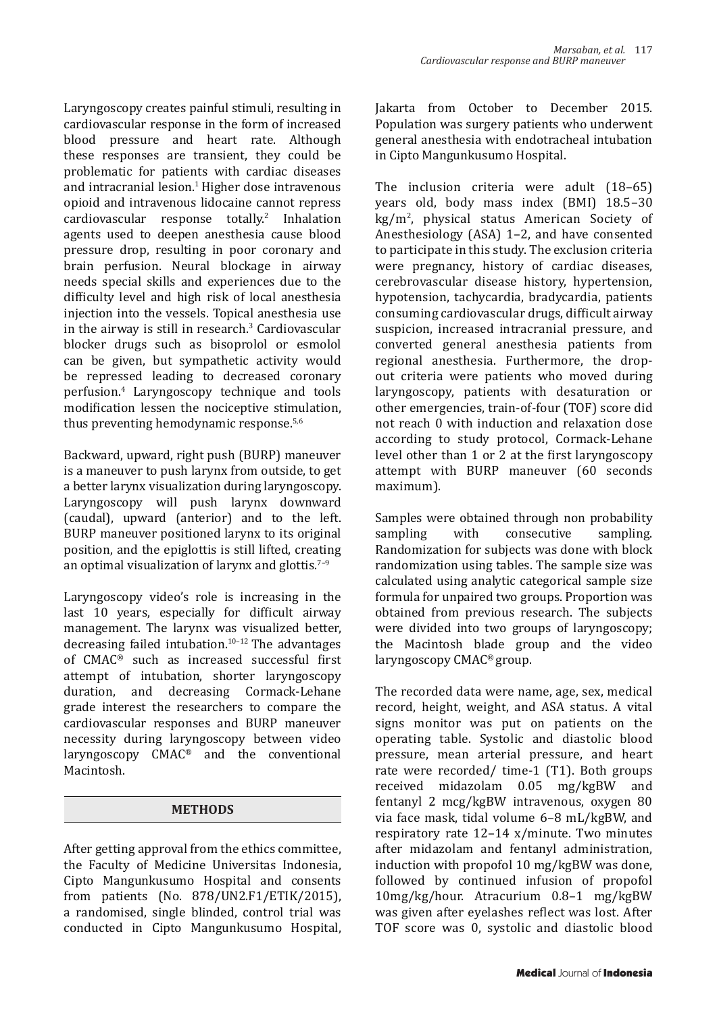Laryngoscopy creates painful stimuli, resulting in cardiovascular response in the form of increased blood pressure and heart rate. Although these responses are transient, they could be problematic for patients with cardiac diseases and intracranial lesion.<sup>1</sup> Higher dose intravenous opioid and intravenous lidocaine cannot repress cardiovascular response totally.<sup>2</sup> Inhalation agents used to deepen anesthesia cause blood pressure drop, resulting in poor coronary and brain perfusion. Neural blockage in airway needs special skills and experiences due to the difficulty level and high risk of local anesthesia injection into the vessels. Topical anesthesia use in the airway is still in research.<sup>3</sup> Cardiovascular blocker drugs such as bisoprolol or esmolol can be given, but sympathetic activity would be repressed leading to decreased coronary perfusion.4 Laryngoscopy technique and tools modification lessen the nociceptive stimulation, thus preventing hemodynamic response.5,6

Backward, upward, right push (BURP) maneuver is a maneuver to push larynx from outside, to get a better larynx visualization during laryngoscopy. Laryngoscopy will push larynx downward (caudal), upward (anterior) and to the left. BURP maneuver positioned larynx to its original position, and the epiglottis is still lifted, creating an optimal visualization of larynx and glottis. $7-9$ 

Laryngoscopy video's role is increasing in the last 10 years, especially for difficult airway management. The larynx was visualized better, decreasing failed intubation. $10-12$  The advantages of CMAC® such as increased successful first attempt of intubation, shorter laryngoscopy duration, and decreasing Cormack-Lehane grade interest the researchers to compare the cardiovascular responses and BURP maneuver necessity during laryngoscopy between video laryngoscopy CMAC® and the conventional Macintosh.

### **METHODS**

After getting approval from the ethics committee, the Faculty of Medicine Universitas Indonesia, Cipto Mangunkusumo Hospital and consents from patients (No. 878/UN2.F1/ETIK/2015), a randomised, single blinded, control trial was conducted in Cipto Mangunkusumo Hospital, Jakarta from October to December 2015. Population was surgery patients who underwent general anesthesia with endotracheal intubation in Cipto Mangunkusumo Hospital.

The inclusion criteria were adult (18–65) years old, body mass index (BMI) 18.5–30 kg/m<sup>2</sup> , physical status American Society of Anesthesiology (ASA) 1–2, and have consented to participate in this study. The exclusion criteria were pregnancy, history of cardiac diseases, cerebrovascular disease history, hypertension, hypotension, tachycardia, bradycardia, patients consuming cardiovascular drugs, difficult airway suspicion, increased intracranial pressure, and converted general anesthesia patients from regional anesthesia. Furthermore, the dropout criteria were patients who moved during laryngoscopy, patients with desaturation or other emergencies, train-of-four (TOF) score did not reach 0 with induction and relaxation dose according to study protocol, Cormack-Lehane level other than 1 or 2 at the first laryngoscopy attempt with BURP maneuver (60 seconds maximum).

Samples were obtained through non probability<br>sampling with consecutive sampling. consecutive Randomization for subjects was done with block randomization using tables. The sample size was calculated using analytic categorical sample size formula for unpaired two groups. Proportion was obtained from previous research. The subjects were divided into two groups of laryngoscopy; the Macintosh blade group and the video laryngoscopy CMAC® group.

The recorded data were name, age, sex, medical record, height, weight, and ASA status. A vital signs monitor was put on patients on the operating table. Systolic and diastolic blood pressure, mean arterial pressure, and heart rate were recorded/ time-1 (T1). Both groups received midazolam 0.05 mg/kgBW and fentanyl 2 mcg/kgBW intravenous, oxygen 80 via face mask, tidal volume 6–8 mL/kgBW, and respiratory rate 12–14 x/minute. Two minutes after midazolam and fentanyl administration, induction with propofol 10 mg/kgBW was done, followed by continued infusion of propofol 10mg/kg/hour. Atracurium 0.8–1 mg/kgBW was given after eyelashes reflect was lost. After TOF score was 0, systolic and diastolic blood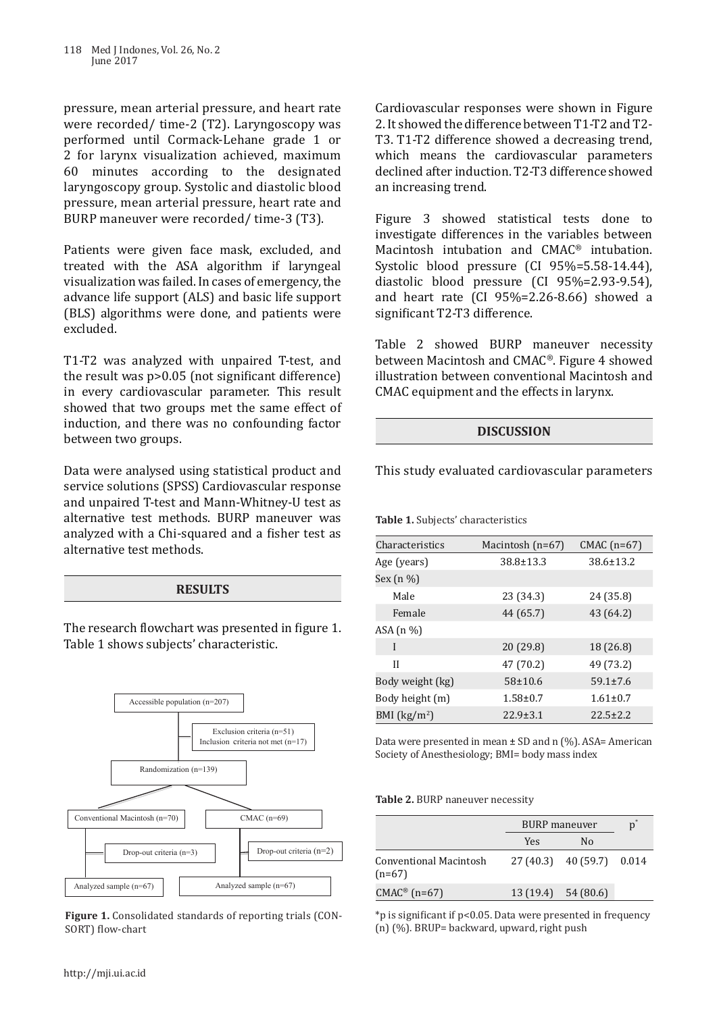pressure, mean arterial pressure, and heart rate were recorded/ time-2 (T2). Laryngoscopy was performed until Cormack-Lehane grade 1 or 2 for larynx visualization achieved, maximum 60 minutes according to the designated laryngoscopy group. Systolic and diastolic blood pressure, mean arterial pressure, heart rate and BURP maneuver were recorded/ time-3 (T3).

Patients were given face mask, excluded, and treated with the ASA algorithm if laryngeal visualization was failed. In cases of emergency, the advance life support (ALS) and basic life support (BLS) algorithms were done, and patients were excluded.

T1-T2 was analyzed with unpaired T-test, and the result was p>0.05 (not significant difference) in every cardiovascular parameter. This result showed that two groups met the same effect of induction, and there was no confounding factor between two groups.

Data were analysed using statistical product and service solutions (SPSS) Cardiovascular response and unpaired T-test and Mann-Whitney-U test as alternative test methods. BURP maneuver was analyzed with a Chi-squared and a fisher test as alternative test methods.

#### **RESULTS**

The research flowchart was presented in figure 1. Table 1 shows subjects' characteristic.



**Figure 1.** Consolidated standards of reporting trials (CON-SORT) flow-chart

Cardiovascular responses were shown in Figure 2. It showed the difference between T1-T2 and T2- T3. T1-T2 difference showed a decreasing trend, which means the cardiovascular parameters declined after induction. T2-T3 difference showed an increasing trend.

Figure 3 showed statistical tests done to investigate differences in the variables between Macintosh intubation and CMAC® intubation. Systolic blood pressure (CI 95%=5.58-14.44), diastolic blood pressure (CI 95%=2.93-9.54), and heart rate (CI 95%=2.26-8.66) showed a significant T2-T3 difference.

Table 2 showed BURP maneuver necessity between Macintosh and CMAC®. Figure 4 showed illustration between conventional Macintosh and CMAC equipment and the effects in larynx.

### **DISCUSSION**

This study evaluated cardiovascular parameters

**Table 1.** Subjects' characteristics

| Characteristics  | Macintosh $(n=67)$ | $CMAC$ (n=67)   |
|------------------|--------------------|-----------------|
| Age (years)      | $38.8 \pm 13.3$    | $38.6 \pm 13.2$ |
| Sex (n %)        |                    |                 |
| Male             | 23 (34.3)          | 24 (35.8)       |
| Female           | 44 (65.7)          | 43 (64.2)       |
| ASA $(n \%)$     |                    |                 |
| I                | 20 (29.8)          | 18 (26.8)       |
| Н                | 47 (70.2)          | 49 (73.2)       |
| Body weight (kg) | $58 + 10.6$        | $59.1 \pm 7.6$  |
| Body height (m)  | $1.58 \pm 0.7$     | $1.61 \pm 0.7$  |
| BMI $(kg/m2)$    | $22.9 \pm 3.1$     | $22.5 \pm 2.2$  |

Data were presented in mean ± SD and n (%). ASA= American Society of Anesthesiology; BMI= body mass index

#### **Table 2.** BURP naneuver necessity

|                                           | <b>BURP</b> maneuver |                           | $\mathbf{D}^*$ |
|-------------------------------------------|----------------------|---------------------------|----------------|
|                                           | <b>Yes</b>           | N <sub>0</sub>            |                |
| <b>Conventional Macintosh</b><br>$(n=67)$ |                      | $27(40.3)$ 40(59.7) 0.014 |                |
| $CMAC^{\circledast}$ (n=67)               |                      | 13(19.4) 54(80.6)         |                |

\*p is significant if p<0.05. Data were presented in frequency (n) (%). BRUP= backward, upward, right push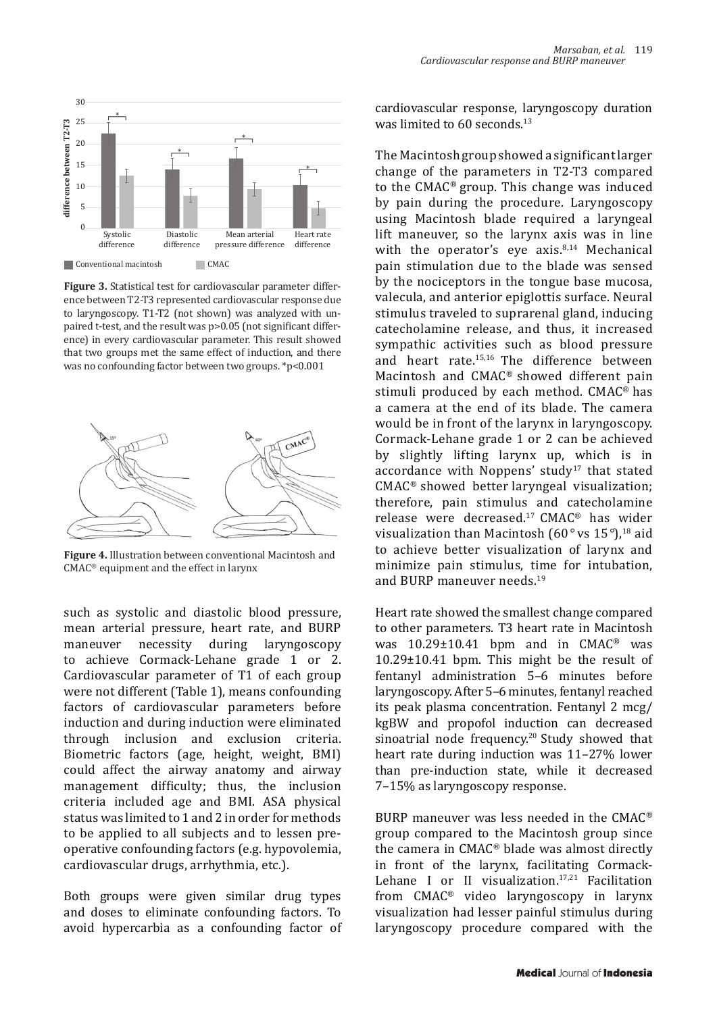

**Figure 3.** Statistical test for cardiovascular parameter difference between T2-T3 represented cardiovascular response due to laryngoscopy. T1-T2 (not shown) was analyzed with unpaired t-test, and the result was p>0.05 (not significant difference) in every cardiovascular parameter. This result showed that two groups met the same effect of induction, and there was no confounding factor between two groups. \*p<0.001



**Figure 4.** Illustration between conventional Macintosh and CMAC® equipment and the effect in larynx

such as systolic and diastolic blood pressure, mean arterial pressure, heart rate, and BURP maneuver necessity during laryngoscopy to achieve Cormack-Lehane grade 1 or 2. Cardiovascular parameter of T1 of each group were not different (Table 1), means confounding factors of cardiovascular parameters before induction and during induction were eliminated through inclusion and exclusion criteria. Biometric factors (age, height, weight, BMI) could affect the airway anatomy and airway management difficulty; thus, the inclusion criteria included age and BMI. ASA physical status was limited to 1 and 2 in order for methods to be applied to all subjects and to lessen preoperative confounding factors (e.g. hypovolemia, cardiovascular drugs, arrhythmia, etc.).

Both groups were given similar drug types and doses to eliminate confounding factors. To avoid hypercarbia as a confounding factor of

 $\frac{1}{\sqrt{2}}$ cardiovascular response, laryngoscopy duration was limited to 60 seconds.<sup>13</sup>

by pain during the procedure. Laryngoscopy<br>heart Megiptagh hlade required a laryngool The Macintosh group showed a significant larger change of the parameters in T2-T3 compared to the CMAC® group. This change was induced using Macintosh blade required a laryngeal lift maneuver, so the larynx axis was in line with the operator's eye axis. $8,14$  Mechanical pain stimulation due to the blade was sensed by the nociceptors in the tongue base mucosa, valecula, and anterior epiglottis surface. Neural stimulus traveled to suprarenal gland, inducing catecholamine release, and thus, it increased sympathic activities such as blood pressure and heart rate.15,16 The difference between Macintosh and CMAC® showed different pain stimuli produced by each method. CMAC® has a camera at the end of its blade. The camera would be in front of the larynx in laryngoscopy. Cormack-Lehane grade 1 or 2 can be achieved by slightly lifting larynx up, which is in accordance with Noppens' study<sup>17</sup> that stated CMAC® showed better laryngeal visualization; therefore, pain stimulus and catecholamine release were decreased.17 CMAC® has wider visualization than Macintosh (60*°* vs 15*°*),18 aid to achieve better visualization of larynx and minimize pain stimulus, time for intubation, and BURP maneuver needs.<sup>19</sup>

Heart rate showed the smallest change compared to other parameters. T3 heart rate in Macintosh was 10.29±10.41 bpm and in CMAC® was 10.29±10.41 bpm. This might be the result of fentanyl administration 5–6 minutes before laryngoscopy. After 5–6 minutes, fentanyl reached its peak plasma concentration. Fentanyl 2 mcg/ kgBW and propofol induction can decreased sinoatrial node frequency.<sup>20</sup> Study showed that heart rate during induction was 11–27% lower than pre-induction state, while it decreased 7–15% as laryngoscopy response.

BURP maneuver was less needed in the CMAC® group compared to the Macintosh group since the camera in CMAC® blade was almost directly in front of the larynx, facilitating Cormack-Lehane I or II visualization. $17,21$  Facilitation from CMAC® video laryngoscopy in larynx visualization had lesser painful stimulus during laryngoscopy procedure compared with the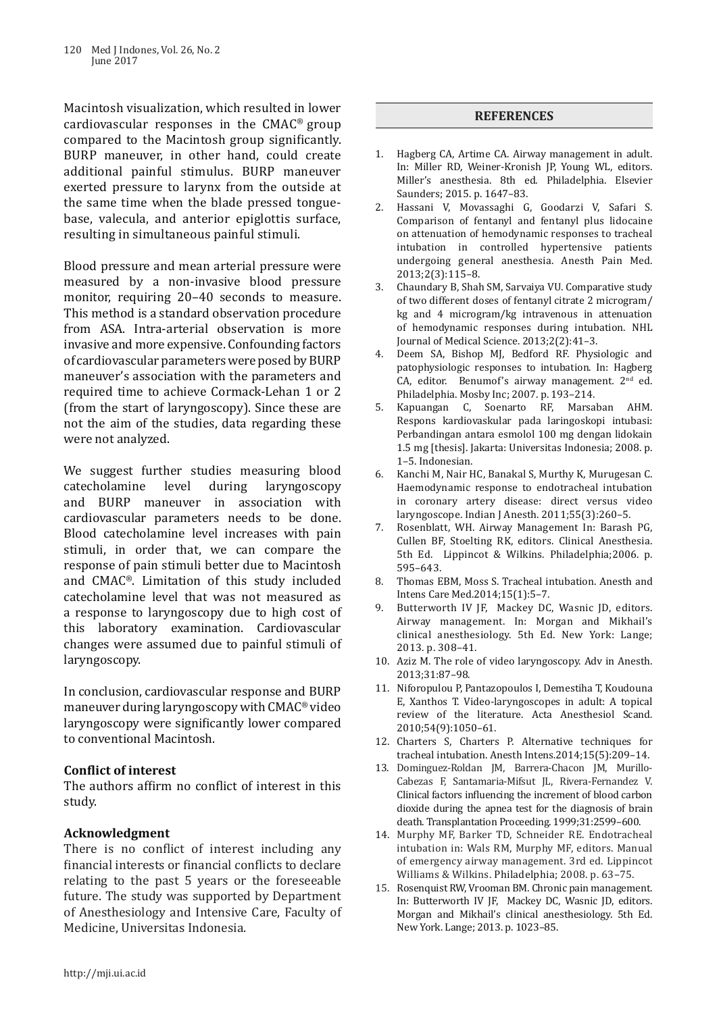Macintosh visualization, which resulted in lower cardiovascular responses in the CMAC® group compared to the Macintosh group significantly. BURP maneuver, in other hand, could create additional painful stimulus. BURP maneuver exerted pressure to larynx from the outside at the same time when the blade pressed tonguebase, valecula, and anterior epiglottis surface, resulting in simultaneous painful stimuli.

Blood pressure and mean arterial pressure were measured by a non-invasive blood pressure monitor, requiring 20–40 seconds to measure. This method is a standard observation procedure from ASA. Intra-arterial observation is more invasive and more expensive. Confounding factors of cardiovascular parameters were posed by BURP maneuver's association with the parameters and required time to achieve Cormack-Lehan 1 or 2 (from the start of laryngoscopy). Since these are not the aim of the studies, data regarding these were not analyzed.

We suggest further studies measuring blood<br>catecholamine level during laryngoscopy laryngoscopy and BURP maneuver in association with cardiovascular parameters needs to be done. Blood catecholamine level increases with pain stimuli, in order that, we can compare the response of pain stimuli better due to Macintosh and CMAC®. Limitation of this study included catecholamine level that was not measured as a response to laryngoscopy due to high cost of this laboratory examination. Cardiovascular changes were assumed due to painful stimuli of laryngoscopy.

In conclusion, cardiovascular response and BURP maneuver during laryngoscopy with CMAC® video laryngoscopy were significantly lower compared to conventional Macintosh.

### **Conflict of interest**

The authors affirm no conflict of interest in this study.

# **Acknowledgment**

There is no conflict of interest including any financial interests or financial conflicts to declare relating to the past 5 years or the foreseeable future. The study was supported by Department of Anesthesiology and Intensive Care, Faculty of Medicine, Universitas Indonesia.

## **REFERENCES**

- 1. Hagberg CA, Artime CA. Airway management in adult. In: Miller RD, Weiner-Kronish JP, Young WL, editors. Miller's anesthesia. 8th ed. Philadelphia. Elsevier Saunders; 2015. p. 1647–83.
- 2. Hassani V, Movassaghi G, Goodarzi V, Safari S. Comparison of fentanyl and fentanyl plus lidocaine on attenuation of hemodynamic responses to tracheal intubation in controlled hypertensive patients undergoing general anesthesia. Anesth Pain Med. 2013;2(3):115–8.
- 3. Chaundary B, Shah SM, Sarvaiya VU. Comparative study of two different doses of fentanyl citrate 2 microgram/ kg and 4 microgram/kg intravenous in attenuation of hemodynamic responses during intubation. NHL Journal of Medical Science. 2013;2(2):41–3.
- 4. Deem SA, Bishop MJ, Bedford RF. Physiologic and patophysiologic responses to intubation. In: Hagberg CA, editor. Benumof's airway management*.* 2nd ed. Philadelphia. Mosby Inc; 2007. p. 193–214.
- 5. Kapuangan C, Soenarto RF, Marsaban AHM. Respons kardiovaskular pada laringoskopi intubasi: Perbandingan antara esmolol 100 mg dengan lidokain 1.5 mg [thesis]. Jakarta: Universitas Indonesia; 2008. p. 1–5. Indonesian.
- 6. Kanchi M, Nair HC, Banakal S, Murthy K, Murugesan C. Haemodynamic response to endotracheal intubation in coronary artery disease: direct versus video laryngoscope. Indian J Anesth. 2011;55(3):260–5.
- 7. Rosenblatt, WH. Airway Management In: Barash PG, Cullen BF, Stoelting RK, editors. Clinical Anesthesia. 5th Ed. Lippincot & Wilkins. Philadelphia;2006. p. 595–643.
- 8. Thomas EBM, Moss S. Tracheal intubation. Anesth and Intens Care Med.2014;15(1):5–7.
- 9. Butterworth IV JF, Mackey DC, Wasnic JD, editors. Airway management. In: Morgan and Mikhail's clinical anesthesiology. 5th Ed. New York: Lange; 2013. p. 308–41.
- 10. Aziz M. The role of video laryngoscopy. Adv in Anesth. 2013;31:87–98.
- 11. Niforopulou P, Pantazopoulos I, Demestiha T, Koudouna E, Xanthos T. Video-laryngoscopes in adult: A topical review of the literature. Acta Anesthesiol Scand*.* 2010;54(9):1050–61.
- 12. Charters S, Charters P. Alternative techniques for tracheal intubation. Anesth Intens*.*2014;15(5):209–14.
- 13. Dominguez-Roldan JM, Barrera-Chacon JM, Murillo-Cabezas F, Santamaria-Mifsut JL, Rivera-Fernandez V. Clinical factors influencing the increment of blood carbon dioxide during the apnea test for the diagnosis of brain death. Transplantation Proceeding. 1999;31:2599–600.
- 14. Murphy MF, Barker TD, Schneider RE. Endotracheal intubation in: Wals RM, Murphy MF, editors. Manual of emergency airway management. 3rd ed. Lippincot Williams & Wilkins. Philadelphia; 2008. p. 63–75.
- 15. Rosenquist RW, Vrooman BM. Chronic pain management. In: Butterworth IV JF, Mackey DC, Wasnic JD, editors. Morgan and Mikhail's clinical anesthesiology. 5th Ed. New York. Lange; 2013. p. 1023–85.